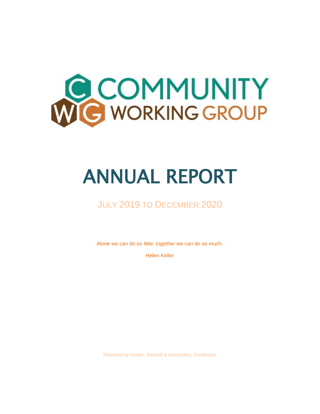

# ANNUAL REPORT

## JULY 2019 TO DECEMBER 2020

Alone we can do so little; together we can do so much.

Helen Keller

Prepared by Godec, Randall & Associates, Facilitators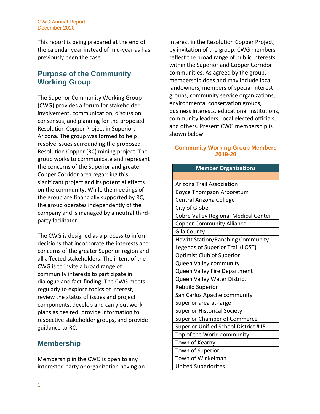#### CWG Annual Report December 2020

This report is being prepared at the end of the calendar year instead of mid-year as has previously been the case.

### **Purpose of the Community Working Group**

The Superior Community Working Group (CWG) provides a forum for stakeholder involvement, communication, discussion, consensus, and planning for the proposed Resolution Copper Project in Superior, Arizona. The group was formed to help resolve issues surrounding the proposed Resolution Copper (RC) mining project. The group works to communicate and represent the concerns of the Superior and greater Copper Corridor area regarding this significant project and its potential effects on the community. While the meetings of the group are financially supported by RC, the group operates independently of the company and is managed by a neutral thirdparty facilitator.

The CWG is designed as a process to inform decisions that incorporate the interests and concerns of the greater Superior region and all affected stakeholders. The intent of the CWG is to invite a broad range of community interests to participate in dialogue and fact-finding. The CWG meets regularly to explore topics of interest, review the status of issues and project components, develop and carry out work plans as desired, provide information to respective stakeholder groups, and provide guidance to RC.

## **Membership**

Membership in the CWG is open to any interested party or organization having an interest in the Resolution Copper Project, by invitation of the group. CWG members reflect the broad range of public interests within the Superior and Copper Corridor communities. As agreed by the group, membership does and may include local landowners, members of special interest groups, community service organizations, environmental conservation groups, business interests, educational institutions, community leaders, local elected officials, and others. Present CWG membership is shown below.

#### **Community Working Group Members 2019-20**

| <b>Member Organizations</b>              |  |  |  |
|------------------------------------------|--|--|--|
|                                          |  |  |  |
| <b>Arizona Trail Association</b>         |  |  |  |
| <b>Boyce Thompson Arboretum</b>          |  |  |  |
| Central Arizona College                  |  |  |  |
| City of Globe                            |  |  |  |
| Cobre Valley Regional Medical Center     |  |  |  |
| <b>Copper Community Alliance</b>         |  |  |  |
| Gila County                              |  |  |  |
| <b>Hewitt Station/Ranching Community</b> |  |  |  |
| Legends of Superior Trail (LOST)         |  |  |  |
| <b>Optimist Club of Superior</b>         |  |  |  |
| Queen Valley community                   |  |  |  |
| Queen Valley Fire Department             |  |  |  |
| Queen Valley Water District              |  |  |  |
| <b>Rebuild Superior</b>                  |  |  |  |
| San Carlos Apache community              |  |  |  |
| Superior area at-large                   |  |  |  |
| <b>Superior Historical Society</b>       |  |  |  |
| <b>Superior Chamber of Commerce</b>      |  |  |  |
| Superior Unified School District #15     |  |  |  |
| Top of the World community               |  |  |  |
| Town of Kearny                           |  |  |  |
| Town of Superior                         |  |  |  |
| Town of Winkelman                        |  |  |  |
| <b>United Superiorites</b>               |  |  |  |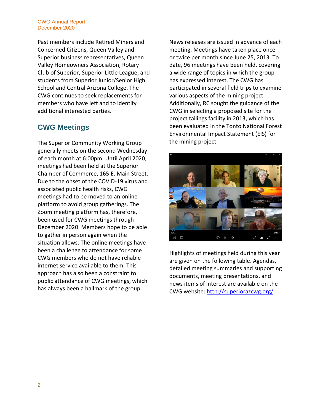#### CWG Annual Report December 2020

Past members include Retired Miners and Concerned Citizens, Queen Valley and Superior business representatives, Queen Valley Homeowners Association, Rotary Club of Superior, Superior Little League, and students from Superior Junior/Senior High School and Central Arizona College. The CWG continues to seek replacements for members who have left and to identify additional interested parties.

## **CWG Meetings**

The Superior Community Working Group generally meets on the second Wednesday of each month at 6:00pm. Until April 2020, meetings had been held at the Superior Chamber of Commerce, 165 E. Main Street. Due to the onset of the COVID-19 virus and associated public health risks, CWG meetings had to be moved to an online platform to avoid group gatherings. The Zoom meeting platform has, therefore, been used for CWG meetings through December 2020. Members hope to be able to gather in person again when the situation allows. The online meetings have been a challenge to attendance for some CWG members who do not have reliable internet service available to them. This approach has also been a constraint to public attendance of CWG meetings, which has always been a hallmark of the group.

News releases are issued in advance of each meeting. Meetings have taken place once or twice per month since June 25, 2013. To date, 96 meetings have been held, covering a wide range of topics in which the group has expressed interest. The CWG has participated in several field trips to examine various aspects of the mining project. Additionally, RC sought the guidance of the CWG in selecting a proposed site for the project tailings facility in 2013, which has been evaluated in the Tonto National Forest Environmental Impact Statement (EIS) for the mining project.



Highlights of meetings held during this year are given on the following table. Agendas, detailed meeting summaries and supporting documents, meeting presentations, and news items of interest are available on the CWG website:<http://superiorazcwg.org/>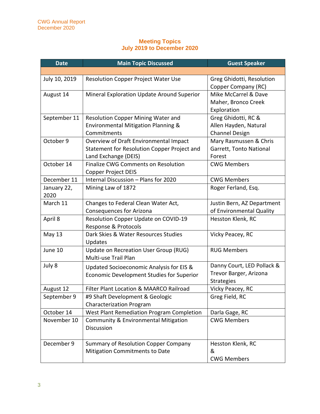#### **Meeting Topics July 2019 to December 2020**

| <b>Date</b>   | <b>Main Topic Discussed</b>                     | <b>Guest Speaker</b>       |
|---------------|-------------------------------------------------|----------------------------|
|               |                                                 |                            |
| July 10, 2019 | <b>Resolution Copper Project Water Use</b>      | Greg Ghidotti, Resolution  |
|               |                                                 | Copper Company (RC)        |
| August 14     | Mineral Exploration Update Around Superior      | Mike McCarrel & Dave       |
|               |                                                 | Maher, Bronco Creek        |
|               |                                                 | Exploration                |
| September 11  | Resolution Copper Mining Water and              | Greg Ghidotti, RC &        |
|               | Environmental Mitigation Planning &             | Allen Hayden, Natural      |
|               | Commitments                                     | <b>Channel Design</b>      |
| October 9     | Overview of Draft Environmental Impact          | Mary Rasmussen & Chris     |
|               | Statement for Resolution Copper Project and     | Garrett, Tonto National    |
|               | Land Exchange (DEIS)                            | Forest                     |
| October 14    | Finalize CWG Comments on Resolution             | <b>CWG Members</b>         |
|               | <b>Copper Project DEIS</b>                      |                            |
| December 11   | Internal Discussion - Plans for 2020            | <b>CWG Members</b>         |
| January 22,   | Mining Law of 1872                              | Roger Ferland, Esq.        |
| 2020          |                                                 |                            |
| March 11      | Changes to Federal Clean Water Act,             | Justin Bern, AZ Department |
|               | <b>Consequences for Arizona</b>                 | of Environmental Quality   |
| April 8       | Resolution Copper Update on COVID-19            | Hesston Klenk, RC          |
|               | Response & Protocols                            |                            |
| May 13        | Dark Skies & Water Resources Studies            | Vicky Peacey, RC           |
|               | Updates                                         |                            |
| June 10       | Update on Recreation User Group (RUG)           | <b>RUG Members</b>         |
|               | Multi-use Trail Plan                            |                            |
| July 8        | Updated Socioeconomic Analysis for EIS &        | Danny Court, LED Pollack & |
|               | Economic Development Studies for Superior       | Trevor Barger, Arizona     |
|               |                                                 | <b>Strategies</b>          |
| August 12     | Filter Plant Location & MAARCO Railroad         | Vicky Peacey, RC           |
| September 9   | #9 Shaft Development & Geologic                 | Greg Field, RC             |
|               | <b>Characterization Program</b>                 |                            |
| October 14    | West Plant Remediation Program Completion       | Darla Gage, RC             |
| November 10   | <b>Community &amp; Environmental Mitigation</b> | <b>CWG Members</b>         |
|               | Discussion                                      |                            |
|               |                                                 |                            |
| December 9    | <b>Summary of Resolution Copper Company</b>     | Hesston Klenk, RC          |
|               | <b>Mitigation Commitments to Date</b>           | &                          |
|               |                                                 | <b>CWG Members</b>         |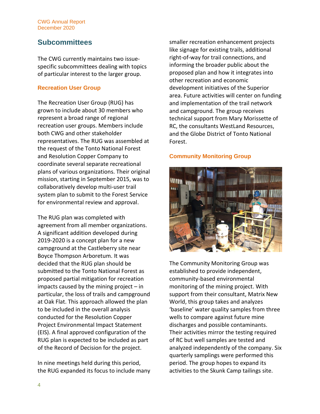#### CWG Annual Report December 2020

## **Subcommittees**

The CWG currently maintains two issuespecific subcommittees dealing with topics of particular interest to the larger group.

#### **Recreation User Group**

The Recreation User Group (RUG) has grown to include about 30 members who represent a broad range of regional recreation user groups. Members include both CWG and other stakeholder representatives. The RUG was assembled at the request of the Tonto National Forest and Resolution Copper Company to coordinate several separate recreational plans of various organizations. Their original mission, starting in September 2015, was to collaboratively develop multi-user trail system plan to submit to the Forest Service for environmental review and approval.

The RUG plan was completed with agreement from all member organizations. A significant addition developed during 2019-2020 is a concept plan for a new campground at the Castleberry site near Boyce Thompson Arboretum. It was decided that the RUG plan should be submitted to the Tonto National Forest as proposed partial mitigation for recreation impacts caused by the mining project  $-$  in particular, the loss of trails and campground at Oak Flat. This approach allowed the plan to be included in the overall analysis conducted for the Resolution Copper Project Environmental Impact Statement (EIS). A final approved configuration of the RUG plan is expected to be included as part of the Record of Decision for the project.

In nine meetings held during this period, the RUG expanded its focus to include many smaller recreation enhancement projects like signage for existing trails, additional right-of-way for trail connections, and informing the broader public about the proposed plan and how it integrates into other recreation and economic development initiatives of the Superior area. Future activities will center on funding and implementation of the trail network and campground. The group receives technical support from Mary Morissette of RC, the consultants WestLand Resources, and the Globe District of Tonto National Forest.

#### **Community Monitoring Group**



The Community Monitoring Group was established to provide independent, community-based environmental monitoring of the mining project. With support from their consultant, Matrix New World, this group takes and analyzes 'baseline' water quality samples from three wells to compare against future mine discharges and possible contaminants. Their activities mirror the testing required of RC but well samples are tested and analyzed independently of the company. Six quarterly samplings were performed this period. The group hopes to expand its activities to the Skunk Camp tailings site.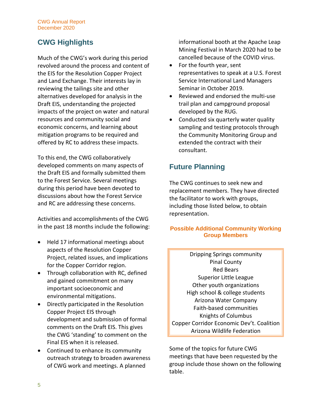## **CWG Highlights**

Much of the CWG's work during this period revolved around the process and content of the EIS for the Resolution Copper Project and Land Exchange. Their interests lay in reviewing the tailings site and other alternatives developed for analysis in the Draft EIS, understanding the projected impacts of the project on water and natural resources and community social and economic concerns, and learning about mitigation programs to be required and offered by RC to address these impacts.

To this end, the CWG collaboratively developed comments on many aspects of the Draft EIS and formally submitted them to the Forest Service. Several meetings during this period have been devoted to discussions about how the Forest Service and RC are addressing these concerns.

Activities and accomplishments of the CWG in the past 18 months include the following:

- Held 17 informational meetings about aspects of the Resolution Copper Project, related issues, and implications for the Copper Corridor region.
- Through collaboration with RC, defined and gained commitment on many important socioeconomic and environmental mitigations.
- Directly participated in the Resolution Copper Project EIS through development and submission of formal comments on the Draft EIS. This gives the CWG 'standing' to comment on the Final EIS when it is released.
- Continued to enhance its community outreach strategy to broaden awareness of CWG work and meetings. A planned

informational booth at the Apache Leap Mining Festival in March 2020 had to be cancelled because of the COVID virus.

- For the fourth year, sent representatives to speak at a U.S. Forest Service International Land Managers Seminar in October 2019.
- Reviewed and endorsed the multi-use trail plan and campground proposal developed by the RUG.
- Conducted six quarterly water quality sampling and testing protocols through the Community Monitoring Group and extended the contract with their consultant.

## **Future Planning**

The CWG continues to seek new and replacement members. They have directed the facilitator to work with groups, including those listed below, to obtain representation.

#### **Possible Additional Community Working Group Members**

Dripping Springs community Pinal County Red Bears Superior Little League Other youth organizations High school & college students Arizona Water Company Faith-based communities Knights of Columbus Copper Corridor Economic Dev't. Coalition Arizona Wildlife Federation

Some of the topics for future CWG meetings that have been requested by the group include those shown on the following table.